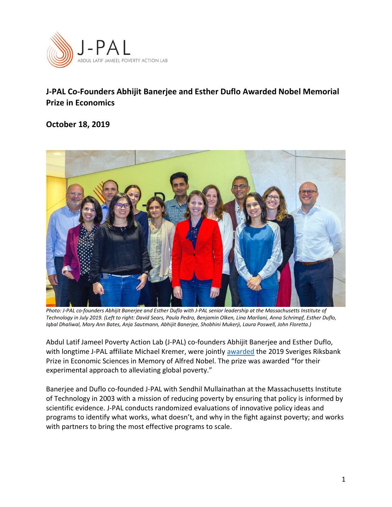

## J-PAL Co-Founders Abhijit Banerjee and Esther Duflo Awarded Nobel Memorial Prize in Economics

October 18, 2019



Photo: J-PAL co-founders Abhijit Banerjee and Esther Duflo with J-PAL senior leadership at the Massachusetts Institute of Technology in July 2019. (Left to right: David Sears, Paula Pedro, Benjamin Olken, Lina Marliani, Anna Schrimpf, Esther Duflo, Iqbal Dhaliwal, Mary Ann Bates, Anja Sautmann, Abhijit Banerjee, Shobhini Mukerji, Laura Poswell, John Floretta.)

Abdul Latif Jameel Poverty Action Lab (J-PAL) co-founders Abhijit Banerjee and Esther Duflo, with longtime J-PAL affiliate Michael Kremer, were jointly awarded the 2019 Sveriges Riksbank Prize in Economic Sciences in Memory of Alfred Nobel. The prize was awarded "for their experimental approach to alleviating global poverty."

Banerjee and Duflo co-founded J-PAL with Sendhil Mullainathan at the Massachusetts Institute of Technology in 2003 with a mission of reducing poverty by ensuring that policy is informed by scientific evidence. J-PAL conducts randomized evaluations of innovative policy ideas and programs to identify what works, what doesn't, and why in the fight against poverty; and works with partners to bring the most effective programs to scale.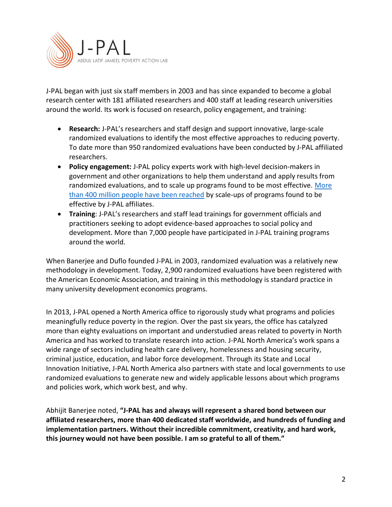

J-PAL began with just six staff members in 2003 and has since expanded to become a global research center with 181 affiliated researchers and 400 staff at leading research universities around the world. Its work is focused on research, policy engagement, and training:

- Research: J-PAL's researchers and staff design and support innovative, large-scale randomized evaluations to identify the most effective approaches to reducing poverty. To date more than 950 randomized evaluations have been conducted by J-PAL affiliated researchers.
- Policy engagement: J-PAL policy experts work with high-level decision-makers in government and other organizations to help them understand and apply results from randomized evaluations, and to scale up programs found to be most effective. More than 400 million people have been reached by scale-ups of programs found to be effective by J-PAL affiliates.
- Training: J-PAL's researchers and staff lead trainings for government officials and practitioners seeking to adopt evidence-based approaches to social policy and development. More than 7,000 people have participated in J-PAL training programs around the world.

When Banerjee and Duflo founded J-PAL in 2003, randomized evaluation was a relatively new methodology in development. Today, 2,900 randomized evaluations have been registered with the American Economic Association, and training in this methodology is standard practice in many university development economics programs.

In 2013, J-PAL opened a North America office to rigorously study what programs and policies meaningfully reduce poverty in the region. Over the past six years, the office has catalyzed more than eighty evaluations on important and understudied areas related to poverty in North America and has worked to translate research into action. J-PAL North America's work spans a wide range of sectors including health care delivery, homelessness and housing security, criminal justice, education, and labor force development. Through its State and Local Innovation Initiative, J-PAL North America also partners with state and local governments to use randomized evaluations to generate new and widely applicable lessons about which programs and policies work, which work best, and why.

Abhijit Banerjee noted, "J-PAL has and always will represent a shared bond between our affiliated researchers, more than 400 dedicated staff worldwide, and hundreds of funding and implementation partners. Without their incredible commitment, creativity, and hard work, this journey would not have been possible. I am so grateful to all of them."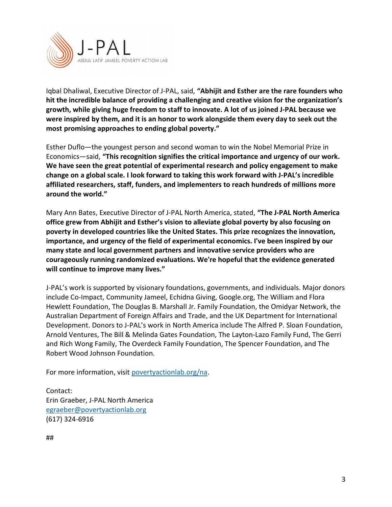

Iqbal Dhaliwal, Executive Director of J-PAL, said, "Abhijit and Esther are the rare founders who hit the incredible balance of providing a challenging and creative vision for the organization's growth, while giving huge freedom to staff to innovate. A lot of us joined J-PAL because we were inspired by them, and it is an honor to work alongside them every day to seek out the most promising approaches to ending global poverty."

Esther Duflo—the youngest person and second woman to win the Nobel Memorial Prize in Economics—said, "This recognition signifies the critical importance and urgency of our work. We have seen the great potential of experimental research and policy engagement to make change on a global scale. I look forward to taking this work forward with J-PAL's incredible affiliated researchers, staff, funders, and implementers to reach hundreds of millions more around the world."

Mary Ann Bates, Executive Director of J-PAL North America, stated, "The J-PAL North America office grew from Abhijit and Esther's vision to alleviate global poverty by also focusing on poverty in developed countries like the United States. This prize recognizes the innovation, importance, and urgency of the field of experimental economics. I've been inspired by our many state and local government partners and innovative service providers who are courageously running randomized evaluations. We're hopeful that the evidence generated will continue to improve many lives."

J-PAL's work is supported by visionary foundations, governments, and individuals. Major donors include Co-Impact, Community Jameel, Echidna Giving, Google.org, The William and Flora Hewlett Foundation, The Douglas B. Marshall Jr. Family Foundation, the Omidyar Network, the Australian Department of Foreign Affairs and Trade, and the UK Department for International Development. Donors to J-PAL's work in North America include The Alfred P. Sloan Foundation, Arnold Ventures, The Bill & Melinda Gates Foundation, The Layton-Lazo Family Fund, The Gerri and Rich Wong Family, The Overdeck Family Foundation, The Spencer Foundation, and The Robert Wood Johnson Foundation.

For more information, visit povertyactionlab.org/na.

Contact: Erin Graeber, J-PAL North America egraeber@povertyactionlab.org (617) 324-6916

##